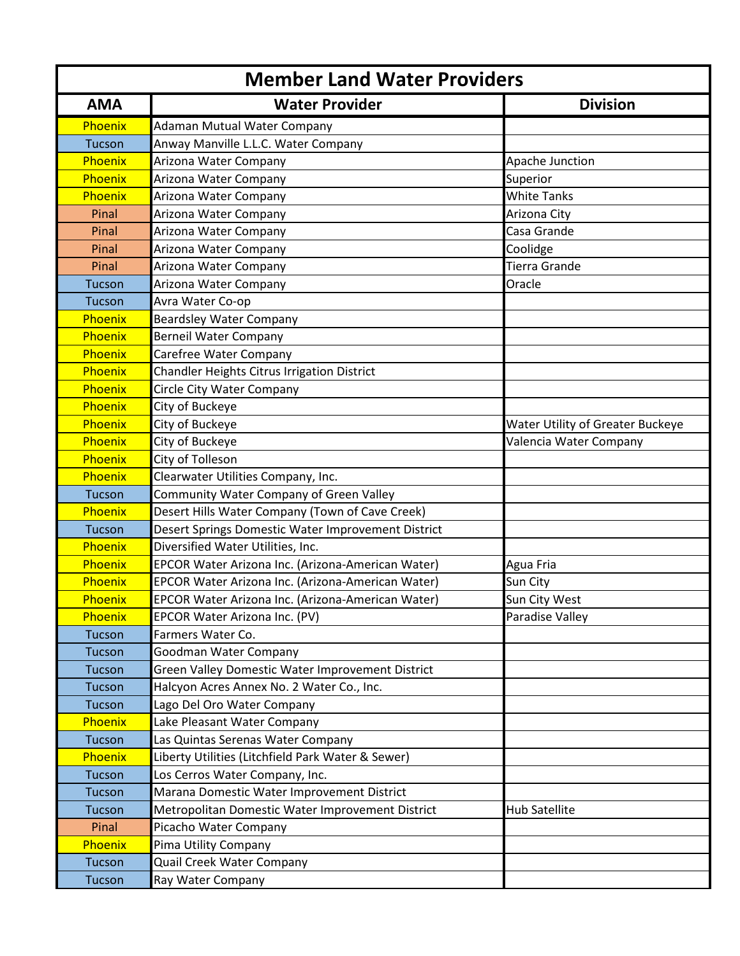| <b>Member Land Water Providers</b> |                                                    |                                  |
|------------------------------------|----------------------------------------------------|----------------------------------|
| <b>AMA</b>                         | <b>Water Provider</b>                              | <b>Division</b>                  |
| Phoenix                            | Adaman Mutual Water Company                        |                                  |
| <b>Tucson</b>                      | Anway Manville L.L.C. Water Company                |                                  |
| Phoenix                            | Arizona Water Company                              | Apache Junction                  |
| Phoenix                            | Arizona Water Company                              | Superior                         |
| Phoenix                            | Arizona Water Company                              | <b>White Tanks</b>               |
| Pinal                              | Arizona Water Company                              | Arizona City                     |
| Pinal                              | Arizona Water Company                              | Casa Grande                      |
| Pinal                              | Arizona Water Company                              | Coolidge                         |
| Pinal                              | Arizona Water Company                              | <b>Tierra Grande</b>             |
| <b>Tucson</b>                      | Arizona Water Company                              | Oracle                           |
| <b>Tucson</b>                      | Avra Water Co-op                                   |                                  |
| Phoenix                            | <b>Beardsley Water Company</b>                     |                                  |
| Phoenix                            | <b>Berneil Water Company</b>                       |                                  |
| Phoenix                            | Carefree Water Company                             |                                  |
| Phoenix                            | Chandler Heights Citrus Irrigation District        |                                  |
| Phoenix                            | <b>Circle City Water Company</b>                   |                                  |
| Phoenix                            | City of Buckeye                                    |                                  |
| Phoenix                            | City of Buckeye                                    | Water Utility of Greater Buckeye |
| Phoenix                            | City of Buckeye                                    | Valencia Water Company           |
| Phoenix                            | City of Tolleson                                   |                                  |
| Phoenix                            | Clearwater Utilities Company, Inc.                 |                                  |
| <b>Tucson</b>                      | <b>Community Water Company of Green Valley</b>     |                                  |
| Phoenix                            | Desert Hills Water Company (Town of Cave Creek)    |                                  |
| <b>Tucson</b>                      | Desert Springs Domestic Water Improvement District |                                  |
| Phoenix                            | Diversified Water Utilities, Inc.                  |                                  |
| Phoenix                            | EPCOR Water Arizona Inc. (Arizona-American Water)  | Agua Fria                        |
| Phoenix                            | EPCOR Water Arizona Inc. (Arizona-American Water)  | Sun City                         |
| Phoenix                            | EPCOR Water Arizona Inc. (Arizona-American Water)  | Sun City West                    |
| Phoenix                            | EPCOR Water Arizona Inc. (PV)                      | Paradise Valley                  |
| <b>Tucson</b>                      | Farmers Water Co.                                  |                                  |
| <b>Tucson</b>                      | Goodman Water Company                              |                                  |
| <b>Tucson</b>                      | Green Valley Domestic Water Improvement District   |                                  |
| <b>Tucson</b>                      | Halcyon Acres Annex No. 2 Water Co., Inc.          |                                  |
| Tucson                             | Lago Del Oro Water Company                         |                                  |
| Phoenix                            | Lake Pleasant Water Company                        |                                  |
| <b>Tucson</b>                      | Las Quintas Serenas Water Company                  |                                  |
| Phoenix                            | Liberty Utilities (Litchfield Park Water & Sewer)  |                                  |
| <b>Tucson</b>                      | Los Cerros Water Company, Inc.                     |                                  |
| <b>Tucson</b>                      | Marana Domestic Water Improvement District         |                                  |
| <b>Tucson</b>                      | Metropolitan Domestic Water Improvement District   | <b>Hub Satellite</b>             |
| Pinal                              | Picacho Water Company                              |                                  |
| Phoenix                            | Pima Utility Company                               |                                  |
| <b>Tucson</b>                      | Quail Creek Water Company                          |                                  |
| <b>Tucson</b>                      | Ray Water Company                                  |                                  |